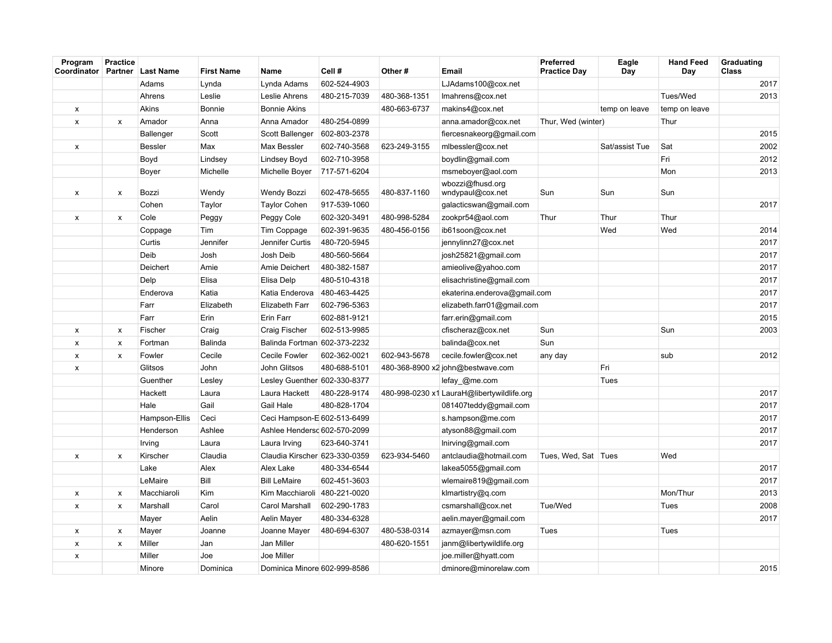| Program<br>Coordinator Partner Last Name | <b>Practice</b> |                | <b>First Name</b> | Name                          | Cell#        | Other#       | Email                                      | <b>Preferred</b><br><b>Practice Day</b> | Eagle<br>Day   | <b>Hand Feed</b><br>Day | Graduating<br>Class |
|------------------------------------------|-----------------|----------------|-------------------|-------------------------------|--------------|--------------|--------------------------------------------|-----------------------------------------|----------------|-------------------------|---------------------|
|                                          |                 | Adams          | Lynda             | Lynda Adams                   | 602-524-4903 |              | LJAdams100@cox.net                         |                                         |                |                         | 2017                |
|                                          |                 | Ahrens         | Leslie            | Leslie Ahrens                 | 480-215-7039 | 480-368-1351 | Imahrens@cox.net                           |                                         |                | Tues/Wed                | 2013                |
| X                                        |                 | Akins          | Bonnie            | <b>Bonnie Akins</b>           |              | 480-663-6737 | makins4@cox.net                            |                                         | temp on leave  | temp on leave           |                     |
| $\pmb{\mathsf{x}}$                       | x               | Amador         | Anna              | Anna Amador                   | 480-254-0899 |              | anna.amador@cox.net                        | Thur, Wed (winter)                      |                | Thur                    |                     |
|                                          |                 | Ballenger      | Scott             | Scott Ballenger               | 602-803-2378 |              | fiercesnakeorg@gmail.com                   |                                         |                |                         | 2015                |
| X                                        |                 | <b>Bessler</b> | Max               | Max Bessler                   | 602-740-3568 | 623-249-3155 | mlbessler@cox.net                          |                                         | Sat/assist Tue | Sat                     | 2002                |
|                                          |                 | Boyd           | Lindsey           | Lindsey Boyd                  | 602-710-3958 |              | boydlin@gmail.com                          |                                         |                | Fri                     | 2012                |
|                                          |                 | Boyer          | Michelle          | Michelle Boyer                | 717-571-6204 |              | msmeboyer@aol.com                          |                                         |                | Mon                     | 2013                |
| x                                        | x               | Bozzi          | Wendy             | <b>Wendy Bozzi</b>            | 602-478-5655 | 480-837-1160 | wbozzi@fhusd.org<br>wndypaul@cox.net       | Sun                                     | Sun            | Sun                     |                     |
|                                          |                 | Cohen          | Taylor            | <b>Taylor Cohen</b>           | 917-539-1060 |              | galacticswan@gmail.com                     |                                         |                |                         | 2017                |
| $\pmb{\mathsf{x}}$                       | x               | Cole           | Peggy             | Peggy Cole                    | 602-320-3491 | 480-998-5284 | zookpr54@aol.com                           | Thur                                    | Thur           | Thur                    |                     |
|                                          |                 | Coppage        | Tim               | Tim Coppage                   | 602-391-9635 | 480-456-0156 | ib61soon@cox.net                           |                                         | Wed            | Wed                     | 2014                |
|                                          |                 | Curtis         | Jennifer          | Jennifer Curtis               | 480-720-5945 |              | jennylinn27@cox.net                        |                                         |                |                         | 2017                |
|                                          |                 | Deib           | Josh              | Josh Deib                     | 480-560-5664 |              | josh25821@gmail.com                        |                                         |                |                         | 2017                |
|                                          |                 | Deichert       | Amie              | Amie Deichert                 | 480-382-1587 |              | amieolive@yahoo.com                        |                                         |                |                         | 2017                |
|                                          |                 | Delp           | Elisa             | Elisa Delp                    | 480-510-4318 |              | elisachristine@gmail.com                   |                                         |                |                         | 2017                |
|                                          |                 | Enderova       | Katia             | Katia Enderova                | 480-463-4425 |              | ekaterina.enderova@gmail.com               |                                         |                |                         | 2017                |
|                                          |                 | Farr           | Elizabeth         | Elizabeth Farr                | 602-796-5363 |              | elizabeth.farr01@gmail.com                 |                                         |                |                         | 2017                |
|                                          |                 | Farr           | Erin              | Erin Farr                     | 602-881-9121 |              | farr.erin@gmail.com                        |                                         |                |                         | 2015                |
| X                                        | x               | Fischer        | Craig             | Craig Fischer                 | 602-513-9985 |              | cfischeraz@cox.net                         | Sun                                     |                | Sun                     | 2003                |
| $\pmb{\times}$                           | x               | Fortman        | Balinda           | Balinda Fortman 602-373-2232  |              |              | balinda@cox.net                            | Sun                                     |                |                         |                     |
| x                                        | x               | Fowler         | Cecile            | Cecile Fowler                 | 602-362-0021 | 602-943-5678 | cecile.fowler@cox.net                      | any day                                 |                | sub                     | 2012                |
| x                                        |                 | Glitsos        | John              | John Glitsos                  | 480-688-5101 |              | 480-368-8900 x2 john@bestwave.com          |                                         | Fri            |                         |                     |
|                                          |                 | Guenther       | Lesley            | Lesley Guenther 602-330-8377  |              |              | lefay @me.com                              |                                         | Tues           |                         |                     |
|                                          |                 | Hackett        | Laura             | Laura Hackett                 | 480-228-9174 |              | 480-998-0230 x1 LauraH@libertywildlife.org |                                         |                |                         | 2017                |
|                                          |                 | Hale           | Gail              | Gail Hale                     | 480-828-1704 |              | 081407teddy@gmail.com                      |                                         |                |                         | 2017                |
|                                          |                 | Hampson-Ellis  | Ceci              | Ceci Hampson-E 602-513-6499   |              |              | s.hampson@me.com                           |                                         |                |                         | 2017                |
|                                          |                 | Henderson      | Ashlee            | Ashlee Hendersd 602-570-2099  |              |              | atyson88@gmail.com                         |                                         |                |                         | 2017                |
|                                          |                 | Irving         | Laura             | Laura Irving                  | 623-640-3741 |              | Inirving@gmail.com                         |                                         |                |                         | 2017                |
| x                                        | x               | Kirscher       | Claudia           | Claudia Kirscher 623-330-0359 |              | 623-934-5460 | antclaudia@hotmail.com                     | Tues, Wed, Sat   Tues                   |                | Wed                     |                     |
|                                          |                 | Lake           | Alex              | Alex Lake                     | 480-334-6544 |              | lakea5055@gmail.com                        |                                         |                |                         | 2017                |
|                                          |                 | LeMaire        | Bill              | <b>Bill LeMaire</b>           | 602-451-3603 |              | wlemaire819@gmail.com                      |                                         |                |                         | 2017                |
| x                                        | x               | Macchiaroli    | Kim               | Kim Macchiaroli               | 480-221-0020 |              | klmartistry@q.com                          |                                         |                | Mon/Thur                | 2013                |
| $\pmb{\mathsf{x}}$                       | X               | Marshall       | Carol             | Carol Marshall                | 602-290-1783 |              | csmarshall@cox.net                         | Tue/Wed                                 |                | Tues                    | 2008                |
|                                          |                 | Mayer          | Aelin             | Aelin Mayer                   | 480-334-6328 |              | aelin.mayer@gmail.com                      |                                         |                |                         | 2017                |
| $\pmb{\mathsf{x}}$                       | x               | Mayer          | Joanne            | Joanne Mayer                  | 480-694-6307 | 480-538-0314 | azmayer@msn.com                            | Tues                                    |                | Tues                    |                     |
| $\pmb{\times}$                           | x               | Miller         | Jan               | Jan Miller                    |              | 480-620-1551 | janm@libertywildlife.org                   |                                         |                |                         |                     |
| x                                        |                 | Miller         | Joe               | Joe Miller                    |              |              | joe.miller@hyatt.com                       |                                         |                |                         |                     |
|                                          |                 | Minore         | Dominica          | Dominica Minore 602-999-8586  |              |              | dminore@minorelaw.com                      |                                         |                |                         | 2015                |